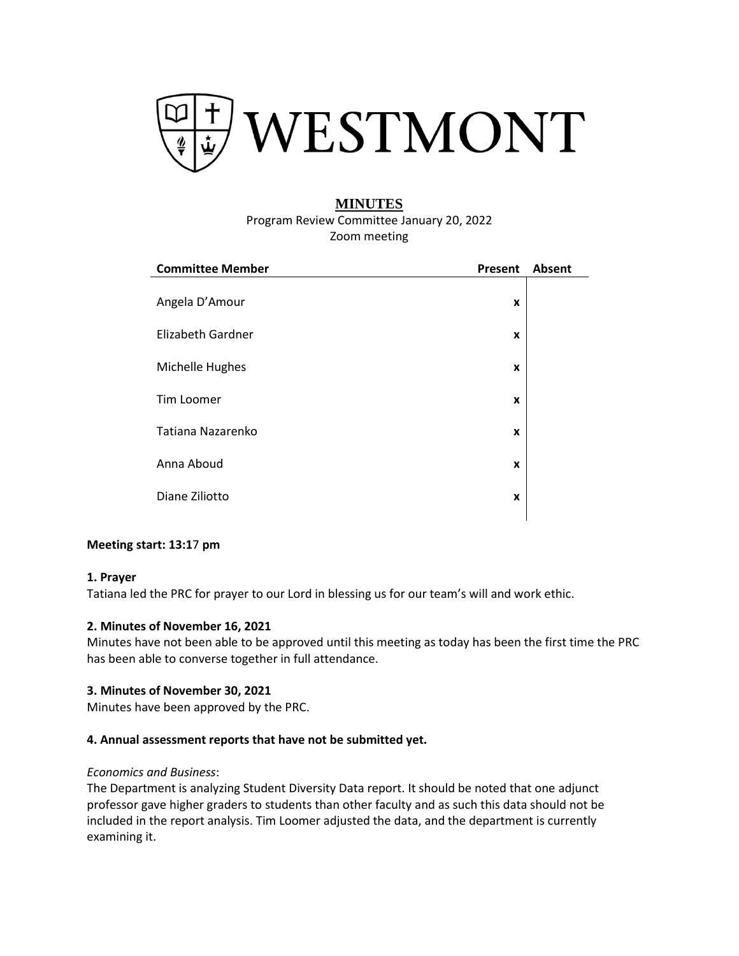

# **MINUTES**

Program Review Committee January 20, 2022 Zoom meeting

| <b>Committee Member</b>  | Present | Absent |
|--------------------------|---------|--------|
| Angela D'Amour           | X       |        |
| <b>Elizabeth Gardner</b> | X       |        |
| Michelle Hughes          | X       |        |
| Tim Loomer               | X       |        |
| Tatiana Nazarenko        | X       |        |
| Anna Aboud               | X       |        |
| Diane Ziliotto           | X       |        |
|                          |         |        |

# **Meeting start: 13:1**7 **pm**

#### **1. Prayer**

Tatiana led the PRC for prayer to our Lord in blessing us for our team's will and work ethic.

#### **2. [Minutes of November 16, 2021](https://www.westmont.edu/sites/default/files/users/user766/11_16_2021%20Minutes_0.pdf)**

Minutes have not been able to be approved until this meeting as today has been the first time the PRC has been able to converse together in full attendance.

#### **3. [Minutes of November 30, 2021](https://www.westmont.edu/sites/default/files/users/user766/11_30_22%20Minutes_0.pdf)**

Minutes have been approved by the PRC.

# **4. [Annual assessment reports that have not be submitted yet.](https://www.westmont.edu/sites/default/files/users/user766/2021-2022%20records%20and%20assignments_January.pdf)**

## *Economics and Business*:

The Department is analyzing Student Diversity Data report. It should be noted that one adjunct professor gave higher graders to students than other faculty and as such this data should not be included in the report analysis. Tim Loomer adjusted the data, and the department is currently examining it.